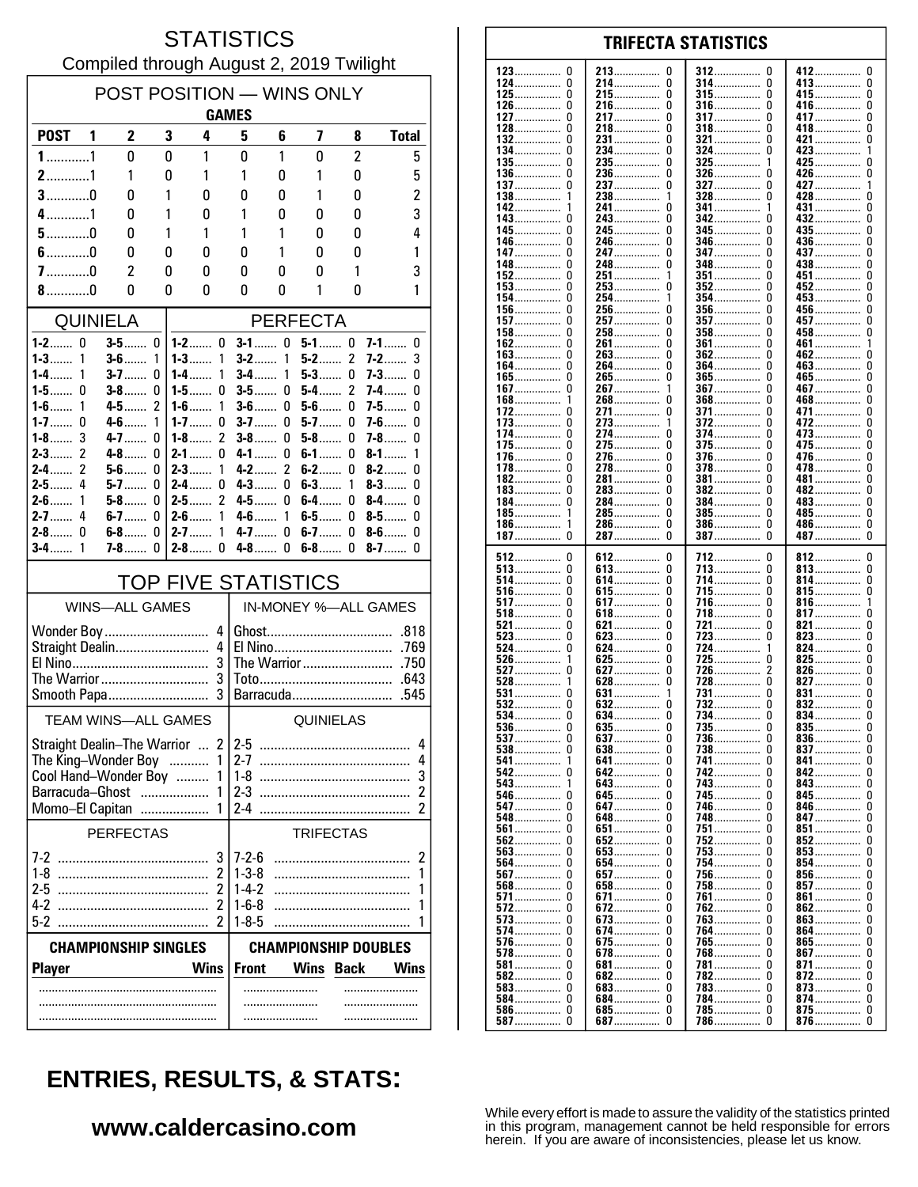#### **STATISTICS** Compiled through August 2, 2019 Twilight

| POST POSITION - WINS ONLY<br><b>GAMES</b>                                                                                                                    |                                               |        |                                                                  |                                                                     |                |                  |                  |                            |  |
|--------------------------------------------------------------------------------------------------------------------------------------------------------------|-----------------------------------------------|--------|------------------------------------------------------------------|---------------------------------------------------------------------|----------------|------------------|------------------|----------------------------|--|
| <b>POST</b><br>1                                                                                                                                             | 2                                             | 3      | 4                                                                | 5                                                                   | 6              | 7                | 8                | <b>Total</b>               |  |
| $1$ 1                                                                                                                                                        | $\mathbf{0}$                                  | 0      | 1                                                                | 0                                                                   | 1              | $\mathbf{0}$     | $\overline{c}$   | 5                          |  |
| $2$ 1                                                                                                                                                        | 1                                             | 0      | 1                                                                | 1                                                                   | 0              | 1                | 0                | 5                          |  |
| $3$ 0                                                                                                                                                        | N                                             | 1      | 0                                                                | 0                                                                   | 0              | 1                | 0                | $\overline{c}$             |  |
| $4$ 1                                                                                                                                                        | 0                                             | 1      | 0                                                                | 1                                                                   | 0              | 0                | 0                | 3                          |  |
| $5$ 0<br>$6$ 0                                                                                                                                               | 0<br>0                                        | 1<br>0 | 1<br>0                                                           | 1<br>0                                                              | 1<br>1         | 0<br>0           | 0<br>0           | 4<br>1                     |  |
| $7$ 0                                                                                                                                                        | 2                                             | 0      | 0                                                                | 0                                                                   | 0              | 0                | 1                | 3                          |  |
| $8$ 0                                                                                                                                                        | Ŋ                                             | 0      | 0                                                                | 0                                                                   | 0              | 1                | 0                | 1                          |  |
| <b>QUINIELA</b>                                                                                                                                              |                                               |        |                                                                  | <b>PERFECTA</b>                                                     |                |                  |                  |                            |  |
| $1 - 2$ 0<br>0<br>$1 - 2$ 0<br><b>3-5</b> ……                                                                                                                 |                                               |        | $\mathbf{0}$<br>0<br>$3-1$<br>$5-1$<br>$7-1$<br>0                |                                                                     |                |                  |                  |                            |  |
| $1 - 3$<br>1                                                                                                                                                 | $3-6$<br>1                                    |        | $1 - 3$<br>1                                                     | $3-2$                                                               | 1              | $5-2$            | $\overline{2}$   | $7-2$<br>3                 |  |
| $1 - 4$<br>1<br>$1 - 5$                                                                                                                                      | $3-7$<br>0<br>3-8……<br>0                      |        | $1 - 4$<br>1<br>$1 - 5$<br>0                                     | $3-4$<br>$3-5$                                                      | 1<br>0         | $5-3$<br>$5-4$   | $\mathbf 0$<br>2 | $7-3$<br>0<br>7-4……<br>0   |  |
| $1 - 6$<br>1                                                                                                                                                 | $\overline{c}$<br>4-5                         |        | 1<br>$1 - 6$                                                     | $3-6$                                                               | $\mathbf{0}$   | $5-6$            | 0                | $7-5$<br>0                 |  |
| $1 - 7$<br>$\Omega$                                                                                                                                          | $4-6$<br>1                                    |        | $1 - 7$<br>0                                                     | $3-7$                                                               | 0              | $5-7$            | 0                | $7 - 6$<br>0               |  |
| 3<br>$1-8$<br>$2 - 3$<br>$\overline{2}$                                                                                                                      | $4 - 7$<br>0<br>$4 - 8$<br>0                  |        | $\overline{c}$<br>$1-8$<br>$2 - 1$<br>0                          | $3-8$<br>$4 - 1$                                                    | 0<br>0         | $5-8$<br>$6 - 1$ | 0<br>0           | $7-8$<br>0<br>$8 - 1$<br>1 |  |
| 2<br>$2 - 4$                                                                                                                                                 | $5 - 6$<br>0                                  |        | $2 - 3$<br>1                                                     | $4 - 2$                                                             | $\overline{c}$ | $6-2$            | 0                | $8-2$<br>0                 |  |
| 4<br>$2-5$                                                                                                                                                   | $5-7$<br>0                                    |        | $2-4$<br>0                                                       | $4-3$                                                               | 0              | $6-3$            | 1                | $8 - 3$<br>0               |  |
| $2 - 6$<br>1<br>$2 - 7$<br>4                                                                                                                                 | $5-8$<br>0<br>6-7……<br>0                      |        | $\overline{c}$<br>$2 - 5$<br>$2 - 6$<br>1                        | $4-5$<br>$4 - 6$                                                    | 0<br>1         | $6-4$<br>$6-5$   | 0<br>0           | $8-4$<br>0<br>$8-5$<br>0   |  |
| 2-8……<br>ŋ                                                                                                                                                   | $6-8$<br>0                                    |        | 1<br>2-7……                                                       | $4 - 7$                                                             | $\mathbf{0}$   | $6-7$            | $\mathbf 0$      | $8-6$<br>0                 |  |
| 1<br>$3-4$                                                                                                                                                   | $7 - 8$<br>O                                  |        | $2-8$<br>0                                                       | $4-8$                                                               | $\Omega$       | $6-8$            | 0                | $8-7$<br>U                 |  |
| <b>TOP FIVE STATISTICS</b>                                                                                                                                   |                                               |        |                                                                  |                                                                     |                |                  |                  |                            |  |
|                                                                                                                                                              | IN-MONEY %-ALL GAMES<br><b>WINS-ALL GAMES</b> |        |                                                                  |                                                                     |                |                  |                  |                            |  |
| Wonder Boy<br>4<br>4<br>Straight Dealin<br>3<br>The Warrior<br>3<br>3<br>Smooth Papa                                                                         |                                               |        | .818<br>.769<br>The Warrior<br>.750<br>.643<br>Barracuda<br>.545 |                                                                     |                |                  |                  |                            |  |
|                                                                                                                                                              | <b>TEAM WINS-ALL GAMES</b>                    |        |                                                                  |                                                                     |                | QUINIELAS        |                  |                            |  |
| $\mathcal{P}$<br><b>Straight Dealin-The Warrior</b><br>The King-Wonder Boy<br>1<br>Cool Hand-Wonder Boy<br>Barracuda-Ghost<br>1<br>.<br>Momo-El Capitan<br>1 |                                               |        |                                                                  | $2 - 5$<br>4<br>4<br>3<br>$2-3$<br>2<br>$2-4$<br>2                  |                |                  |                  |                            |  |
| <b>PERFECTAS</b><br><b>TRIFECTAS</b>                                                                                                                         |                                               |        |                                                                  |                                                                     |                |                  |                  |                            |  |
|                                                                                                                                                              |                                               |        | 3<br>$\overline{\mathbf{c}}$<br>$\overline{\mathbf{c}}$<br>2     | $7 - 2 - 6$<br>$1 - 3 - 8$<br>$1-4-2$<br>$1 - 6 - 8$<br>$1 - 8 - 5$ |                |                  |                  | 2<br>1<br>1<br>1<br>1      |  |
| <b>CHAMPIONSHIP SINGLES</b><br><b>CHAMPIONSHIP DOUBLES</b>                                                                                                   |                                               |        |                                                                  |                                                                     |                |                  |                  |                            |  |
| <b>Wins</b><br><b>Player</b>                                                                                                                                 |                                               |        | <b>Front</b>                                                     |                                                                     | <b>Wins</b>    | <b>Back</b>      | <b>Wins</b>      |                            |  |
|                                                                                                                                                              |                                               |        |                                                                  |                                                                     | .              |                  |                  |                            |  |

#### 123  $\mathbf 0$ 213  $\mathbf 0$ 412  $\mathbf{0}$ 312  $\Omega$ 124  $\pmb{0}$ 214  $\pmb{0}$ 314  $\pmb{0}$ 413  $\pmb{0}$ . . . . . . . . . . . . . . . . . . . . . . . . . . . . . . . . . . . . . . . . . . .  $\pmb{0}$  $\pmb{0}$  $\mathbf 0$  $\pmb{0}$ 125 215 315 415 . . . . . . . . . . . . . . . . . . . . . . . . . . . . . . . . . . . 126  $\pmb{0}$ 216  $\pmb{0}$ 316  $\Omega$ 416  $\pmb{0}$ . . . . . . . . . . . . . . . . . . . . . . . . . . . . . 127  $\Omega$ 217  $\Omega$ 317  $\Omega$ 417  $\Omega$ . . . . . . . . . . . . . . . . . . . . . . . . . . 128  $\Omega$ 218  $\Omega$ 318  $\Omega$ 418  $\Omega$ 231................  $\Omega$ ň 132  $\Omega$ 321  $\Omega$ 421  $\pmb{0}$  $\pmb{0}$ 134 234 324  $\Omega$ 423 . . . . . . . . . . . 135  $\Omega$ 235  $\Omega$ 325 425 Ò . . . . . . . . . . . . . . 236  $\pmb{0}$ 326 426  $\pmb{0}$ 136 0 ŋ ............. . . . . . . . . . . . . . . . . . . . . . . . . . . . . . 137  $\Omega$ 237  $\Omega$ 327  $\Omega$ 427 1 138 238 328  $\Omega$ 428  $\Omega$ 1  $\mathbf{1}$ . . . . . . . . . 142 241  $\dot{0}$  $\tilde{0}$ 341 431 243. Ō 342 432 Ō 143  $\Omega$ . . . . . . . . . . . . . . . Ō Ō  $\mathbf{0}$ 245 345  $\mathbf{0}$ 435 145 0 346  $\pmb{0}$ 0 436 146 246 . . . . . . . . . ............. 147  $\Omega$ 247  $\Omega$ 347 n 437  $\Omega$ . . . . . . . . . . . . . 148 248  $\pmb{0}$ 348 438  $\pmb{0}$ 0 ŋ . . . . . . . . . . . . . . . . . . . . . . . . . . . . . 152 0 251 351 <sup>0</sup> 451 0 1 . . . . . . . . . 153  $\Omega$ 253  $\Omega$ 352  $\Omega$ 452  $\Omega$ ŏ 154  $\Omega$ 254 354 453. 1 n 156  $\mathbf 0$ 256  $\mathbf 0$  $\mathbf 0$ 356  $\Omega$ 456 257 ŏ 157  $\Omega$  $\mathbf 0$ 357 457 . . . . . . . . . . . . . . . . . . . . .  $\pmb{0}$ 458  $\pmb{0}$ 158 0 258 358 0 . . . . . . . . . . . . . . . . . . . . . . . . . . . . . . . . . . . . . . . . . . . . . 162  $\Omega$ 261  $\Omega$ 361  $\Omega$ 461 1 . . . . . . . . . . . . . . . . . . . . . . . . 163  $\Omega$ 263  $\Omega$ 362  $\Omega$ 462  $\Omega$ . . . . . . . . . . . . . . . . . . . . . ŏ 164  $\Omega$ 264  $\Omega$ 364  $\Omega$ 463 165 Ō 265 Ō 365  $465$ Ō  $\Omega$  $\mathbf 0$  $\overline{0}$  $\mathbf 0$ 267 367 467 167 . . . . . . . . . .  $\ddot{\mathbf{0}}$ Ō 468 Ō 168 268 368 . . . . . . . . . . . . . . . . . . . . . . . . . . . 172  $\pmb{0}$ 271  $\pmb{0}$ 371 0 471.  $\pmb{0}$ 372  $\pmb{0}$ 273  $\pmb{0}$ 173 ŋ 472 . . . . . . . . . . . . . . . . . . . . . . . . . . . . 174  $\pmb{0}$ 274  $\Omega$ 374  $\Omega$ 473  $\pmb{0}$ . . . . . . . . . . . . . . . . . 175  $\Omega$ 275  $\Omega$ 375 <sup>0</sup> 475 0 ............  $\mathbf{0}$ 376 176  $\Omega$ 276  $\Omega$ O 476 ŏ ŏ  $\Omega$ 278  $\theta$ 478 178 378 ŏ 182  $\Omega$ 281  $\pmb{0}$ 381  $\theta$ 481 ............. . . . . . . . . . . . . . . ............ 283  $\pmb{0}$ 382  $\pmb{0}$ 183 0 0 482 . . . . . . . . . . . . . . . . . . . . . . . . . . . . . . . . . . . . . . . 184  $\Omega$ 284  $\Omega$ 384 ŋ 483  $\mathbf{0}$ . . . . . . . . . . . . . . . . . . . . . . . . . . . . . 185 285  $\Omega$ 385  $\Omega$ 485  $\Omega$ 1 . . . . . . . . . . . . . . . . . . . . . . . . . . . . . . . . . . . . . . . . . . . . 186 286  $\Omega$ 386  $\Omega$ 486.  $\Omega$ . . . . . . . . . . . . . . -1 . . . . . . . . . . . . . .  $\check{\mathbf{0}}$  $\check{0}$  $\dot{0}$ 287................ 387 387  $\Omega$ 487 187 512  $\mathbf 0$ 612  $\pmb{0}$ 712  $\mathbf{0}$ 812  $\pmb{0}$ 513  $\pmb{0}$ 613  $\pmb{0}$  $\Omega$  $\pmb{0}$ 713 813 . . . . . . . . . . . . . . . . . . . . . . . . . . . . . . . . . . . . . . . . . . . . . . . . . . . . . . . . . . . . . 514 0 614 0 714  $\Omega$ 814 0 . . . . . . . . . . . . . . . . . . . . . . . . . . . . . . . . . . . . . 516  $\Omega$ 615 0 715  $\Omega$ 815 0 . . . . . . . . . . . . . . . . . . . . . . . . . . . . . . . .  $\overline{0}$  $\Omega$ 517  $\Omega$ 617. 716 816.  $\mathbf{1}$  $518$  $\mathbf 0$  $\mathbf 0$ 817  $\mathbf{0}$ 618. 718  $\Omega$ . . . . . . . . . . . . . . . . . . . . . . . . . . . . . 521  $\pmb{0}$  $\pmb{0}$ 721  $\theta$ 821  $\pmb{0}$ 621 . . . . . . . . . 523  $\pmb{0}$ 623  $\pmb{0}$ 723 O 823  $\pmb{0}$ . . . . . . . . . . . . . . . . . . . . . . . . . . . . 524  $\Omega$ 624  $\Omega$ 724 824  $\Omega$ . . . . . . . . . . . . . . . . . . . . . . . 725<br>726 526 625  $\Omega$  $\Omega$ 825  $\Omega$  $\Omega$ 627  $\Omega$ 527  $\Omega$ 826  $528$  $6\overline{28}$ Ō  $728$ ō Ō  $827$ 1  $\tilde{0}$ 531  $\Omega$ 631 731 831 . . . . . . . . . . . . . . . . . . . . . . . . . . . 532  $632$  $\ddot{\mathbf{0}}$ 732 Ō  $\mathbf{0}$ Ū 832 . . . . . . . . . . . . . . . . . . . . . . . . 534  $634.$ 734  $\mathbf 0$ 0 834  $\pmb{0}$ . . . . . . . . . . . . . . . . . . . . . . 536 635  $\begin{matrix} 0 \\ 0 \end{matrix}$ 735  $\begin{matrix} 0 \\ 0 \end{matrix}$ 0 ŋ 835 . . . . . . . . . . . . . . . . . . . . . . . . . . . . . . . . . . . . . . . . . 537  $\Omega$ 637 736  $\Omega$ 836 738 837 538 0 638 0 <sup>0</sup>  $\Omega$ . . . . . . . 641  $\mathbf{0}$ 541 -1 0 741 0 841 542  $\Omega$ 642.  $\Omega$ 742  $\Omega$ 842  $\mathbf 0$ 543  $\pmb{0}$ 743  $\theta$  $\pmb{0}$ 643 843 . . . . . . . . . . . . . . . . . 546  $\mathbf 0$ 645  $\mathbf 0$ 745 O 845  $\mathbf 0$ . . . . . . . . . . . . . . . . . . . . . . . . . . . . . 547  $\pmb{0}$ 647  $\pmb{0}$ 746 846  $\pmb{0}$  $\Omega$ ............. ............. 748 548  $\Omega$ 648  $\Omega$  $\Omega$ 847  $\Omega$ 561  $\Omega$ 651  $\Omega$ 751  $\Omega$ 851  $\Omega$  $\tilde{0}$  $\tilde{0}$  $\Omega$ 852 562 652 752 n ŏ 563 Ō 653. Ō 753 853 Ū . . . . . . . . . . . . . . . . . . . . . . . . . . . . . 564 Ō 654 Ō 754 Ō 854 Ō 567  $\Omega$ 657  $\Omega$ 756 n 856  $\Omega$ . . . . . . . . . . . . . . . . . . . . . . . . . . . . 568  $\mathbf{0}$ 658  $\Omega$ 758  $\Omega$ 857  $\Omega$ 571  $\mathbf 0$ 671  $\pmb{0}$ 761 <sup>0</sup> 861  $\mathbf{0}$ 572 0 672 0 762 <sup>0</sup> 862 0 . . . . . . . . . . . . . . . . . . .

**TRIFECTA STATISTICS** 

# **ENTRIES, RESULTS, & STATS:**

### www.caldercasino.com

While every effort is made to assure the validity of the statistics printed in this program, management cannot be held responsible for errors herein. If you are aware of inconsistencies, please let us know.

573

574

576

578

581

582

583

587

 $\Omega$ 

0

 $\pmb{0}$ 

 $\Omega$ 

 $\pmb{0}$ 

 $\Omega$ 

 $\Omega$ 

 $\Omega$ 

 $\mathbf 0$ 

 $\pmb{0}$ 

. . . . . . . . . .

. . . . . . . . . .

. . . . . . . . . . . . . .

. . . . . . . . . . . . . . .

584................

 $586$ ................

673

674

675

678

681

682

683

684

687.

 $\Omega$ 

 $\mathbf 0$ 

 $\pmb{0}$ 

 $\pmb{0}$ 

 $\pmb{0}$ 

 $\Omega$ 

 $\Omega$ 

ŏ

 $\mathbf 0$ 

 $\tilde{0}$ 

. . . . . . . . . . .

. . . . . . . . . . . . .

. . . . . . . . . . . . . .

. . . . . . . . . . . . .

685..................

. . . . . . . . .

763

764

765

768

781

782

783

784

 $785.$ 

786

 $\Omega$ 

 $\Omega$ 

0

O

 $\theta$ 

 $\Omega$ 

 $\Omega$ 

 $\Omega$ 

0

 $\Omega$ 

. . . . . . . . . . . . .

. . . . . . . . . . . . . . . .

. . . . . .

863

864

865

867

871

872

873

874

875.................

876................

 $\Omega$ ŏ

 $\pmb{0}$ 

 $\mathbf 0$ 

 $\pmb{0}$ 

 $\Omega$ 

 $\Omega$ . . . . . .

ŏ

 $\mathbf 0$ 

 $\Omega$ 

. . . . . . . . . . . . . . . .